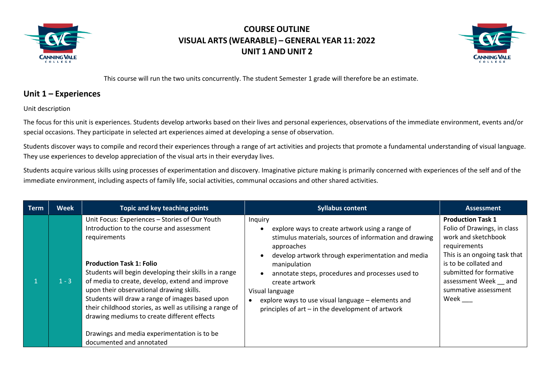



This course will run the two units concurrently. The student Semester 1 grade will therefore be an estimate.

#### **Unit 1 – Experiences**

Unit description

The focus for this unit is experiences. Students develop artworks based on their lives and personal experiences, observations of the immediate environment, events and/or special occasions. They participate in selected art experiences aimed at developing a sense of observation.

Students discover ways to compile and record their experiences through a range of art activities and projects that promote a fundamental understanding of visual language. They use experiences to develop appreciation of the visual arts in their everyday lives.

Students acquire various skills using processes of experimentation and discovery. Imaginative picture making is primarily concerned with experiences of the self and of the immediate environment, including aspects of family life, social activities, communal occasions and other shared activities.

| <b>Term</b> | <b>Week</b> | Topic and key teaching points                                                                                                                                                                                                                                                                                                                                                                                                                                                                                                                    | <b>Syllabus content</b>                                                                                                                                                                                                                                                                                                                                                                                     | <b>Assessment</b>                                                                                                                                                                                                                         |
|-------------|-------------|--------------------------------------------------------------------------------------------------------------------------------------------------------------------------------------------------------------------------------------------------------------------------------------------------------------------------------------------------------------------------------------------------------------------------------------------------------------------------------------------------------------------------------------------------|-------------------------------------------------------------------------------------------------------------------------------------------------------------------------------------------------------------------------------------------------------------------------------------------------------------------------------------------------------------------------------------------------------------|-------------------------------------------------------------------------------------------------------------------------------------------------------------------------------------------------------------------------------------------|
|             | $1 - 3$     | Unit Focus: Experiences - Stories of Our Youth<br>Introduction to the course and assessment<br>requirements<br><b>Production Task 1: Folio</b><br>Students will begin developing their skills in a range<br>of media to create, develop, extend and improve<br>upon their observational drawing skills.<br>Students will draw a range of images based upon<br>their childhood stories, as well as utilising a range of<br>drawing mediums to create different effects<br>Drawings and media experimentation is to be<br>documented and annotated | Inquiry<br>explore ways to create artwork using a range of<br>stimulus materials, sources of information and drawing<br>approaches<br>develop artwork through experimentation and media<br>manipulation<br>annotate steps, procedures and processes used to<br>create artwork<br>Visual language<br>explore ways to use visual language - elements and<br>principles of art - in the development of artwork | <b>Production Task 1</b><br>Folio of Drawings, in class<br>work and sketchbook<br>requirements<br>This is an ongoing task that<br>is to be collated and<br>submitted for formative<br>assessment Week and<br>summative assessment<br>Week |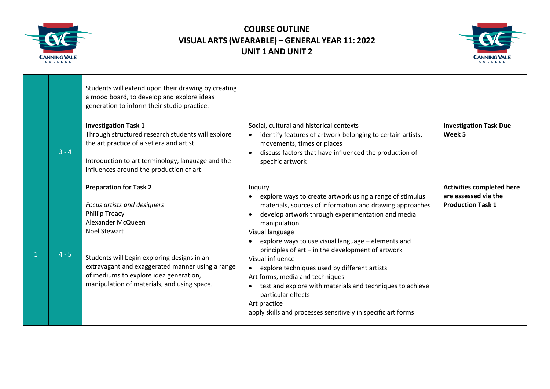



|         | Students will extend upon their drawing by creating<br>a mood board, to develop and explore ideas<br>generation to inform their studio practice.                                                                                                                                                                              |                                                                                                                                                                                                                                                                                                                                                                                                                                                                                                                                                                                                                                        |                                                                                      |
|---------|-------------------------------------------------------------------------------------------------------------------------------------------------------------------------------------------------------------------------------------------------------------------------------------------------------------------------------|----------------------------------------------------------------------------------------------------------------------------------------------------------------------------------------------------------------------------------------------------------------------------------------------------------------------------------------------------------------------------------------------------------------------------------------------------------------------------------------------------------------------------------------------------------------------------------------------------------------------------------------|--------------------------------------------------------------------------------------|
| $3 - 4$ | <b>Investigation Task 1</b><br>Through structured research students will explore<br>the art practice of a set era and artist<br>Introduction to art terminology, language and the<br>influences around the production of art.                                                                                                 | Social, cultural and historical contexts<br>identify features of artwork belonging to certain artists,<br>movements, times or places<br>discuss factors that have influenced the production of<br>specific artwork                                                                                                                                                                                                                                                                                                                                                                                                                     | <b>Investigation Task Due</b><br>Week 5                                              |
| $4 - 5$ | <b>Preparation for Task 2</b><br>Focus artists and designers<br><b>Phillip Treacy</b><br>Alexander McQueen<br><b>Noel Stewart</b><br>Students will begin exploring designs in an<br>extravagant and exaggerated manner using a range<br>of mediums to explore idea generation,<br>manipulation of materials, and using space. | Inquiry<br>explore ways to create artwork using a range of stimulus<br>materials, sources of information and drawing approaches<br>develop artwork through experimentation and media<br>$\bullet$<br>manipulation<br>Visual language<br>explore ways to use visual language - elements and<br>$\bullet$<br>principles of art – in the development of artwork<br>Visual influence<br>explore techniques used by different artists<br>Art forms, media and techniques<br>test and explore with materials and techniques to achieve<br>particular effects<br>Art practice<br>apply skills and processes sensitively in specific art forms | <b>Activities completed here</b><br>are assessed via the<br><b>Production Task 1</b> |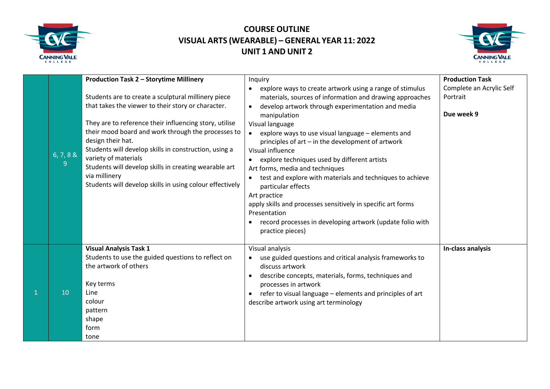



|    | 6, 7, 8 &<br>9 | Production Task 2 - Storytime Millinery<br>Students are to create a sculptural millinery piece<br>that takes the viewer to their story or character.<br>They are to reference their influencing story, utilise<br>their mood board and work through the processes to<br>design their hat.<br>Students will develop skills in construction, using a<br>variety of materials<br>Students will develop skills in creating wearable art<br>via millinery<br>Students will develop skills in using colour effectively | Inquiry<br>explore ways to create artwork using a range of stimulus<br>$\bullet$<br>materials, sources of information and drawing approaches<br>develop artwork through experimentation and media<br>$\bullet$<br>manipulation<br>Visual language<br>explore ways to use visual language - elements and<br>principles of art - in the development of artwork<br>Visual influence<br>explore techniques used by different artists<br>$\bullet$<br>Art forms, media and techniques<br>test and explore with materials and techniques to achieve<br>particular effects<br>Art practice<br>apply skills and processes sensitively in specific art forms<br>Presentation<br>record processes in developing artwork (update folio with<br>$\bullet$<br>practice pieces) | <b>Production Task</b><br>Complete an Acrylic Self<br>Portrait<br>Due week 9 |
|----|----------------|------------------------------------------------------------------------------------------------------------------------------------------------------------------------------------------------------------------------------------------------------------------------------------------------------------------------------------------------------------------------------------------------------------------------------------------------------------------------------------------------------------------|-------------------------------------------------------------------------------------------------------------------------------------------------------------------------------------------------------------------------------------------------------------------------------------------------------------------------------------------------------------------------------------------------------------------------------------------------------------------------------------------------------------------------------------------------------------------------------------------------------------------------------------------------------------------------------------------------------------------------------------------------------------------|------------------------------------------------------------------------------|
| -1 | 10             | <b>Visual Analysis Task 1</b><br>Students to use the guided questions to reflect on<br>the artwork of others<br>Key terms<br>Line<br>colour<br>pattern<br>shape<br>form<br>tone                                                                                                                                                                                                                                                                                                                                  | Visual analysis<br>use guided questions and critical analysis frameworks to<br>discuss artwork<br>describe concepts, materials, forms, techniques and<br>$\bullet$<br>processes in artwork<br>refer to visual language - elements and principles of art<br>$\bullet$<br>describe artwork using art terminology                                                                                                                                                                                                                                                                                                                                                                                                                                                    | In-class analysis                                                            |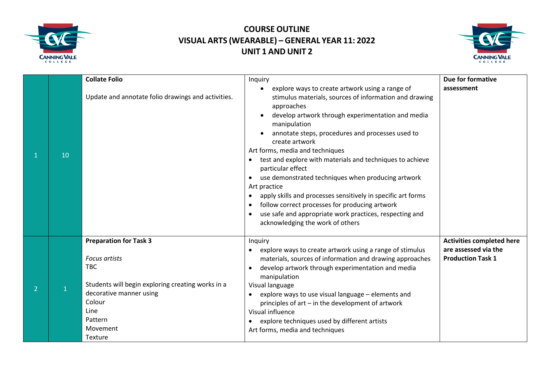



|   |    | <b>Collate Folio</b>                                                                                                                                                                                           | Inquiry                                                                                                                                                                                                                                                                                                                                                                                                                                                                                                                                                                                                                                                                                                                                                      | Due for formative                                                                    |
|---|----|----------------------------------------------------------------------------------------------------------------------------------------------------------------------------------------------------------------|--------------------------------------------------------------------------------------------------------------------------------------------------------------------------------------------------------------------------------------------------------------------------------------------------------------------------------------------------------------------------------------------------------------------------------------------------------------------------------------------------------------------------------------------------------------------------------------------------------------------------------------------------------------------------------------------------------------------------------------------------------------|--------------------------------------------------------------------------------------|
|   | 10 | Update and annotate folio drawings and activities.                                                                                                                                                             | explore ways to create artwork using a range of<br>$\bullet$<br>stimulus materials, sources of information and drawing<br>approaches<br>develop artwork through experimentation and media<br>manipulation<br>annotate steps, procedures and processes used to<br>create artwork<br>Art forms, media and techniques<br>test and explore with materials and techniques to achieve<br>$\bullet$<br>particular effect<br>use demonstrated techniques when producing artwork<br>$\bullet$<br>Art practice<br>apply skills and processes sensitively in specific art forms<br>$\bullet$<br>follow correct processes for producing artwork<br>$\bullet$<br>use safe and appropriate work practices, respecting and<br>$\bullet$<br>acknowledging the work of others | assessment                                                                           |
| 2 |    | <b>Preparation for Task 3</b><br><b>Focus artists</b><br><b>TBC</b><br>Students will begin exploring creating works in a<br>decorative manner using<br>Colour<br>Line<br>Pattern<br>Movement<br><b>Texture</b> | Inquiry<br>explore ways to create artwork using a range of stimulus<br>$\bullet$<br>materials, sources of information and drawing approaches<br>develop artwork through experimentation and media<br>$\bullet$<br>manipulation<br>Visual language<br>explore ways to use visual language - elements and<br>$\bullet$<br>principles of art - in the development of artwork<br>Visual influence<br>explore techniques used by different artists<br>$\bullet$<br>Art forms, media and techniques                                                                                                                                                                                                                                                                | <b>Activities completed here</b><br>are assessed via the<br><b>Production Task 1</b> |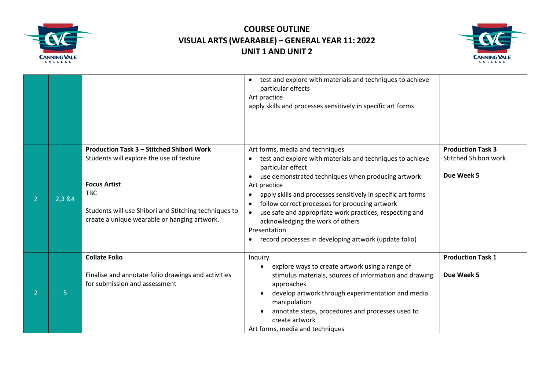



|   |         |                                                                                                                                                                                                                              | test and explore with materials and techniques to achieve<br>$\bullet$<br>particular effects<br>Art practice<br>apply skills and processes sensitively in specific art forms                                                                                                                                                                                                                                                                                                      |                                                                 |
|---|---------|------------------------------------------------------------------------------------------------------------------------------------------------------------------------------------------------------------------------------|-----------------------------------------------------------------------------------------------------------------------------------------------------------------------------------------------------------------------------------------------------------------------------------------------------------------------------------------------------------------------------------------------------------------------------------------------------------------------------------|-----------------------------------------------------------------|
| 2 | 2,3 & 4 | Production Task 3 - Stitched Shibori Work<br>Students will explore the use of texture<br><b>Focus Artist</b><br>TBC<br>Students will use Shibori and Stitching techniques to<br>create a unique wearable or hanging artwork. | Art forms, media and techniques<br>test and explore with materials and techniques to achieve<br>particular effect<br>use demonstrated techniques when producing artwork<br>Art practice<br>apply skills and processes sensitively in specific art forms<br>follow correct processes for producing artwork<br>use safe and appropriate work practices, respecting and<br>acknowledging the work of others<br>Presentation<br>record processes in developing artwork (update folio) | <b>Production Task 3</b><br>Stitched Shibori work<br>Due Week 5 |
|   | 5       | <b>Collate Folio</b><br>Finalise and annotate folio drawings and activities<br>for submission and assessment                                                                                                                 | Inquiry<br>explore ways to create artwork using a range of<br>stimulus materials, sources of information and drawing<br>approaches<br>develop artwork through experimentation and media<br>$\bullet$<br>manipulation<br>annotate steps, procedures and processes used to<br>create artwork<br>Art forms, media and techniques                                                                                                                                                     | <b>Production Task 1</b><br>Due Week 5                          |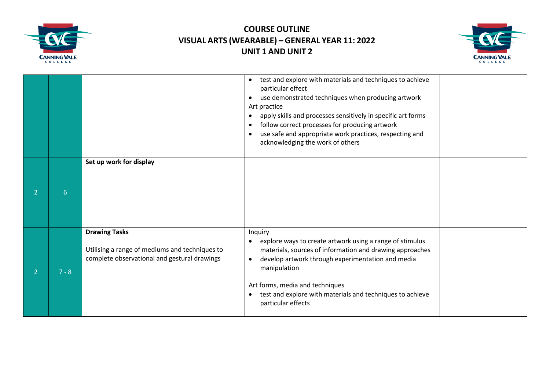



|   |         |                                                                                                                        | test and explore with materials and techniques to achieve<br>$\bullet$<br>particular effect<br>use demonstrated techniques when producing artwork<br>$\bullet$<br>Art practice<br>apply skills and processes sensitively in specific art forms<br>$\bullet$<br>follow correct processes for producing artwork<br>$\bullet$<br>use safe and appropriate work practices, respecting and<br>$\bullet$<br>acknowledging the work of others |  |
|---|---------|------------------------------------------------------------------------------------------------------------------------|----------------------------------------------------------------------------------------------------------------------------------------------------------------------------------------------------------------------------------------------------------------------------------------------------------------------------------------------------------------------------------------------------------------------------------------|--|
|   | 6       | Set up work for display                                                                                                |                                                                                                                                                                                                                                                                                                                                                                                                                                        |  |
| 2 | $7 - 8$ | <b>Drawing Tasks</b><br>Utilising a range of mediums and techniques to<br>complete observational and gestural drawings | Inquiry<br>explore ways to create artwork using a range of stimulus<br>$\bullet$<br>materials, sources of information and drawing approaches<br>develop artwork through experimentation and media<br>$\bullet$<br>manipulation<br>Art forms, media and techniques<br>test and explore with materials and techniques to achieve<br>$\bullet$<br>particular effects                                                                      |  |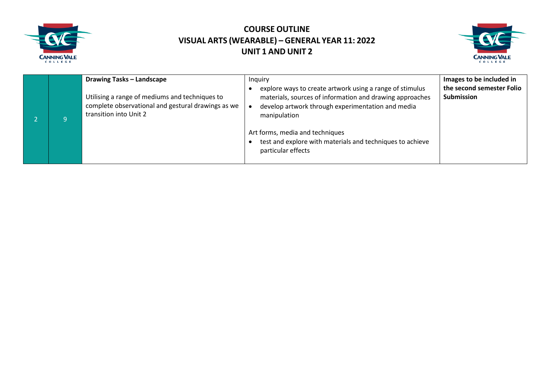



|   | <b>Drawing Tasks - Landscape</b>                                                                                               | Inquiry                                                                                                                                                                                                                                                                                   | Images to be included in                       |
|---|--------------------------------------------------------------------------------------------------------------------------------|-------------------------------------------------------------------------------------------------------------------------------------------------------------------------------------------------------------------------------------------------------------------------------------------|------------------------------------------------|
| 9 | Utilising a range of mediums and techniques to<br>complete observational and gestural drawings as we<br>transition into Unit 2 | explore ways to create artwork using a range of stimulus<br>materials, sources of information and drawing approaches<br>develop artwork through experimentation and media<br>manipulation<br>Art forms, media and techniques<br>test and explore with materials and techniques to achieve | the second semester Folio<br><b>Submission</b> |
|   |                                                                                                                                | particular effects                                                                                                                                                                                                                                                                        |                                                |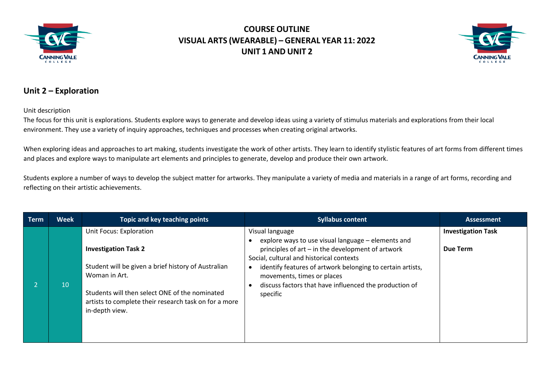



#### **Unit 2 – Exploration**

Unit description

The focus for this unit is explorations*.* Students explore ways to generate and develop ideas using a variety of stimulus materials and explorations from their local environment. They use a variety of inquiry approaches, techniques and processes when creating original artworks.

When exploring ideas and approaches to art making, students investigate the work of other artists. They learn to identify stylistic features of art forms from different times and places and explore ways to manipulate art elements and principles to generate, develop and produce their own artwork.

Students explore a number of ways to develop the subject matter for artworks. They manipulate a variety of media and materials in a range of art forms, recording and reflecting on their artistic achievements.

| Term | <b>Week</b> | Topic and key teaching points                                                                                                                                                                                                                               | <b>Syllabus content</b>                                                                                                                                                                                                                                                                                                                  | <b>Assessment</b>                     |
|------|-------------|-------------------------------------------------------------------------------------------------------------------------------------------------------------------------------------------------------------------------------------------------------------|------------------------------------------------------------------------------------------------------------------------------------------------------------------------------------------------------------------------------------------------------------------------------------------------------------------------------------------|---------------------------------------|
|      | 10          | Unit Focus: Exploration<br><b>Investigation Task 2</b><br>Student will be given a brief history of Australian<br>Woman in Art.<br>Students will then select ONE of the nominated<br>artists to complete their research task on for a more<br>in-depth view. | Visual language<br>explore ways to use visual language – elements and<br>principles of art – in the development of artwork<br>Social, cultural and historical contexts<br>identify features of artwork belonging to certain artists,<br>movements, times or places<br>discuss factors that have influenced the production of<br>specific | <b>Investigation Task</b><br>Due Term |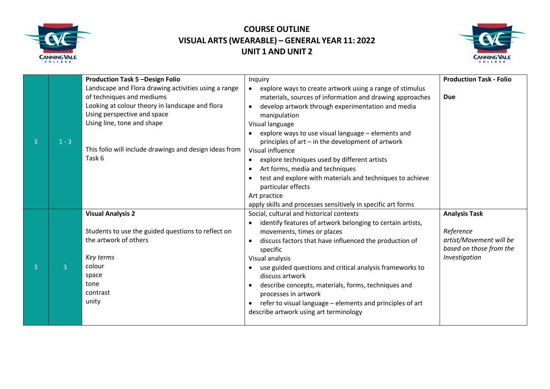



| $\overline{3}$ | $1 - 3$        | <b>Production Task 5 -Design Folio</b><br>Landscape and Flora drawing activities using a range<br>of techniques and mediums<br>Looking at colour theory in landscape and flora<br>Using perspective and space<br>Using line, tone and shape<br>This folio will include drawings and design ideas from<br>Task 6 | Inquiry<br>explore ways to create artwork using a range of stimulus<br>materials, sources of information and drawing approaches<br>develop artwork through experimentation and media<br>manipulation<br>Visual language<br>explore ways to use visual language - elements and<br>principles of art - in the development of artwork<br>Visual influence                                                                                                                                                                       | <b>Production Task - Folio</b><br><b>Due</b>                                                             |
|----------------|----------------|-----------------------------------------------------------------------------------------------------------------------------------------------------------------------------------------------------------------------------------------------------------------------------------------------------------------|------------------------------------------------------------------------------------------------------------------------------------------------------------------------------------------------------------------------------------------------------------------------------------------------------------------------------------------------------------------------------------------------------------------------------------------------------------------------------------------------------------------------------|----------------------------------------------------------------------------------------------------------|
|                |                |                                                                                                                                                                                                                                                                                                                 | explore techniques used by different artists<br>Art forms, media and techniques<br>$\bullet$<br>test and explore with materials and techniques to achieve<br>particular effects<br>Art practice<br>apply skills and processes sensitively in specific art forms                                                                                                                                                                                                                                                              |                                                                                                          |
| 3              | $\overline{3}$ | <b>Visual Analysis 2</b><br>Students to use the guided questions to reflect on<br>the artwork of others<br>Key terms<br>colour<br>space<br>tone<br>contrast<br>unity                                                                                                                                            | Social, cultural and historical contexts<br>identify features of artwork belonging to certain artists,<br>$\bullet$<br>movements, times or places<br>discuss factors that have influenced the production of<br>specific<br>Visual analysis<br>use guided questions and critical analysis frameworks to<br>discuss artwork<br>describe concepts, materials, forms, techniques and<br>processes in artwork<br>refer to visual language - elements and principles of art<br>$\bullet$<br>describe artwork using art terminology | <b>Analysis Task</b><br>Reference<br>artist/Movement will be<br>based on those from the<br>Investigation |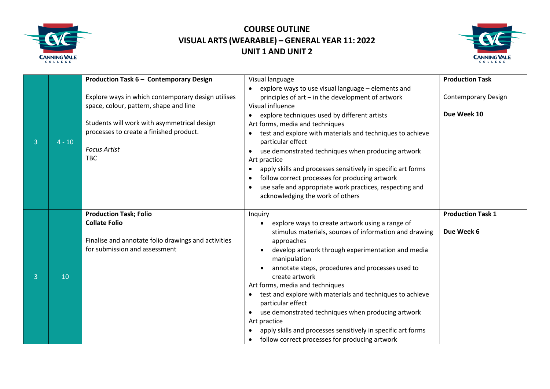



|                |          |                                                     |                                                                 | <b>Production Task</b>     |
|----------------|----------|-----------------------------------------------------|-----------------------------------------------------------------|----------------------------|
|                |          | Production Task 6 - Contemporary Design             | Visual language                                                 |                            |
|                |          |                                                     | explore ways to use visual language - elements and<br>$\bullet$ |                            |
|                |          | Explore ways in which contemporary design utilises  | principles of art - in the development of artwork               | <b>Contemporary Design</b> |
|                |          | space, colour, pattern, shape and line              | Visual influence                                                |                            |
|                |          |                                                     | explore techniques used by different artists                    | Due Week 10                |
|                |          | Students will work with asymmetrical design         | Art forms, media and techniques                                 |                            |
|                |          | processes to create a finished product.             | test and explore with materials and techniques to achieve       |                            |
| $\overline{3}$ | $4 - 10$ |                                                     | particular effect                                               |                            |
|                |          | <b>Focus Artist</b>                                 | use demonstrated techniques when producing artwork              |                            |
|                |          | <b>TBC</b>                                          | Art practice                                                    |                            |
|                |          |                                                     | apply skills and processes sensitively in specific art forms    |                            |
|                |          |                                                     | follow correct processes for producing artwork                  |                            |
|                |          |                                                     | use safe and appropriate work practices, respecting and         |                            |
|                |          |                                                     | acknowledging the work of others                                |                            |
|                |          |                                                     |                                                                 |                            |
|                |          |                                                     |                                                                 |                            |
|                |          |                                                     |                                                                 |                            |
|                |          | <b>Production Task; Folio</b>                       | Inquiry<br>$\bullet$                                            | <b>Production Task 1</b>   |
|                |          | <b>Collate Folio</b>                                | explore ways to create artwork using a range of                 |                            |
|                |          |                                                     | stimulus materials, sources of information and drawing          | Due Week 6                 |
|                |          | Finalise and annotate folio drawings and activities | approaches                                                      |                            |
|                |          | for submission and assessment                       | develop artwork through experimentation and media               |                            |
|                |          |                                                     | manipulation                                                    |                            |
|                |          |                                                     | annotate steps, procedures and processes used to                |                            |
| $\overline{3}$ | 10       |                                                     | create artwork                                                  |                            |
|                |          |                                                     | Art forms, media and techniques                                 |                            |
|                |          |                                                     | test and explore with materials and techniques to achieve       |                            |
|                |          |                                                     | particular effect                                               |                            |
|                |          |                                                     | use demonstrated techniques when producing artwork<br>$\bullet$ |                            |
|                |          |                                                     | Art practice                                                    |                            |
|                |          |                                                     | apply skills and processes sensitively in specific art forms    |                            |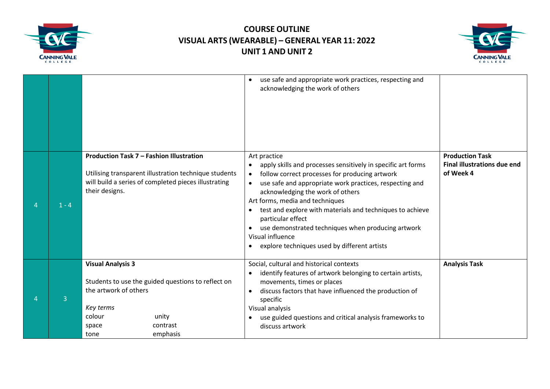



|                |         |                                                                                                                                                                                  | use safe and appropriate work practices, respecting and<br>acknowledging the work of others                                                                                                                                                                                                                                                                                                                                                                                                                         |                                                                           |
|----------------|---------|----------------------------------------------------------------------------------------------------------------------------------------------------------------------------------|---------------------------------------------------------------------------------------------------------------------------------------------------------------------------------------------------------------------------------------------------------------------------------------------------------------------------------------------------------------------------------------------------------------------------------------------------------------------------------------------------------------------|---------------------------------------------------------------------------|
| $\overline{4}$ | $1 - 4$ | Production Task 7 - Fashion Illustration<br>Utilising transparent illustration technique students<br>will build a series of completed pieces illustrating<br>their designs.      | Art practice<br>apply skills and processes sensitively in specific art forms<br>$\bullet$<br>follow correct processes for producing artwork<br>$\bullet$<br>use safe and appropriate work practices, respecting and<br>acknowledging the work of others<br>Art forms, media and techniques<br>test and explore with materials and techniques to achieve<br>particular effect<br>use demonstrated techniques when producing artwork<br>Visual influence<br>explore techniques used by different artists<br>$\bullet$ | <b>Production Task</b><br><b>Final illustrations due end</b><br>of Week 4 |
|                | 3       | <b>Visual Analysis 3</b><br>Students to use the guided questions to reflect on<br>the artwork of others<br>Key terms<br>colour<br>unity<br>contrast<br>space<br>emphasis<br>tone | Social, cultural and historical contexts<br>identify features of artwork belonging to certain artists,<br>movements, times or places<br>discuss factors that have influenced the production of<br>specific<br>Visual analysis<br>use guided questions and critical analysis frameworks to<br>discuss artwork                                                                                                                                                                                                        | <b>Analysis Task</b>                                                      |